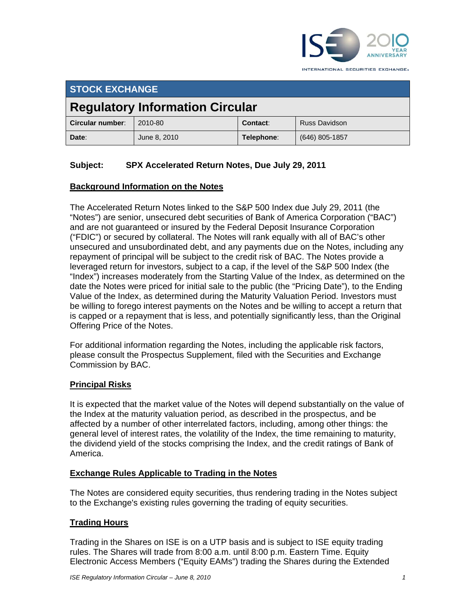

INTERNATIONAL SECURITIES EXCHANGE.

# **STOCK EXCHANGE**

# **Regulatory Information Circular**

| Circular number: | 2010-80      | Contact:   | <b>Russ Davidson</b> |
|------------------|--------------|------------|----------------------|
| Date:            | June 8, 2010 | Telephone: | (646) 805-1857       |

# **Subject: SPX Accelerated Return Notes, Due July 29, 2011**

### **Background Information on the Notes**

The Accelerated Return Notes linked to the S&P 500 Index due July 29, 2011 (the "Notes") are senior, unsecured debt securities of Bank of America Corporation ("BAC") and are not guaranteed or insured by the Federal Deposit Insurance Corporation ("FDIC") or secured by collateral. The Notes will rank equally with all of BAC's other unsecured and unsubordinated debt, and any payments due on the Notes, including any repayment of principal will be subject to the credit risk of BAC. The Notes provide a leveraged return for investors, subject to a cap, if the level of the S&P 500 Index (the "Index") increases moderately from the Starting Value of the Index, as determined on the date the Notes were priced for initial sale to the public (the "Pricing Date"), to the Ending Value of the Index, as determined during the Maturity Valuation Period. Investors must be willing to forego interest payments on the Notes and be willing to accept a return that is capped or a repayment that is less, and potentially significantly less, than the Original Offering Price of the Notes.

For additional information regarding the Notes, including the applicable risk factors, please consult the Prospectus Supplement, filed with the Securities and Exchange Commission by BAC.

### **Principal Risks**

It is expected that the market value of the Notes will depend substantially on the value of the Index at the maturity valuation period, as described in the prospectus, and be affected by a number of other interrelated factors, including, among other things: the general level of interest rates, the volatility of the Index, the time remaining to maturity, the dividend yield of the stocks comprising the Index, and the credit ratings of Bank of America.

#### **Exchange Rules Applicable to Trading in the Notes**

The Notes are considered equity securities, thus rendering trading in the Notes subject to the Exchange's existing rules governing the trading of equity securities.

### **Trading Hours**

Trading in the Shares on ISE is on a UTP basis and is subject to ISE equity trading rules. The Shares will trade from 8:00 a.m. until 8:00 p.m. Eastern Time. Equity Electronic Access Members ("Equity EAMs") trading the Shares during the Extended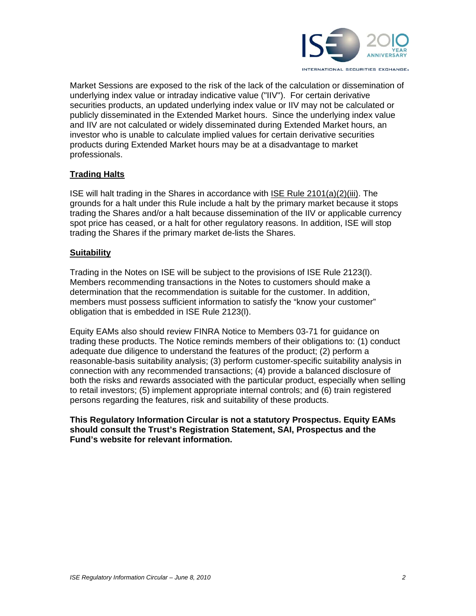

Market Sessions are exposed to the risk of the lack of the calculation or dissemination of underlying index value or intraday indicative value ("IIV"). For certain derivative securities products, an updated underlying index value or IIV may not be calculated or publicly disseminated in the Extended Market hours. Since the underlying index value and IIV are not calculated or widely disseminated during Extended Market hours, an investor who is unable to calculate implied values for certain derivative securities products during Extended Market hours may be at a disadvantage to market professionals.

#### **Trading Halts**

ISE will halt trading in the Shares in accordance with ISE Rule 2101(a)(2)(iii). The grounds for a halt under this Rule include a halt by the primary market because it stops trading the Shares and/or a halt because dissemination of the IIV or applicable currency spot price has ceased, or a halt for other regulatory reasons. In addition, ISE will stop trading the Shares if the primary market de-lists the Shares.

#### **Suitability**

Trading in the Notes on ISE will be subject to the provisions of ISE Rule 2123(l). Members recommending transactions in the Notes to customers should make a determination that the recommendation is suitable for the customer. In addition, members must possess sufficient information to satisfy the "know your customer" obligation that is embedded in ISE Rule 2123(l).

Equity EAMs also should review FINRA Notice to Members 03-71 for guidance on trading these products. The Notice reminds members of their obligations to: (1) conduct adequate due diligence to understand the features of the product; (2) perform a reasonable-basis suitability analysis; (3) perform customer-specific suitability analysis in connection with any recommended transactions; (4) provide a balanced disclosure of both the risks and rewards associated with the particular product, especially when selling to retail investors; (5) implement appropriate internal controls; and (6) train registered persons regarding the features, risk and suitability of these products.

**This Regulatory Information Circular is not a statutory Prospectus. Equity EAMs should consult the Trust's Registration Statement, SAI, Prospectus and the Fund's website for relevant information.**